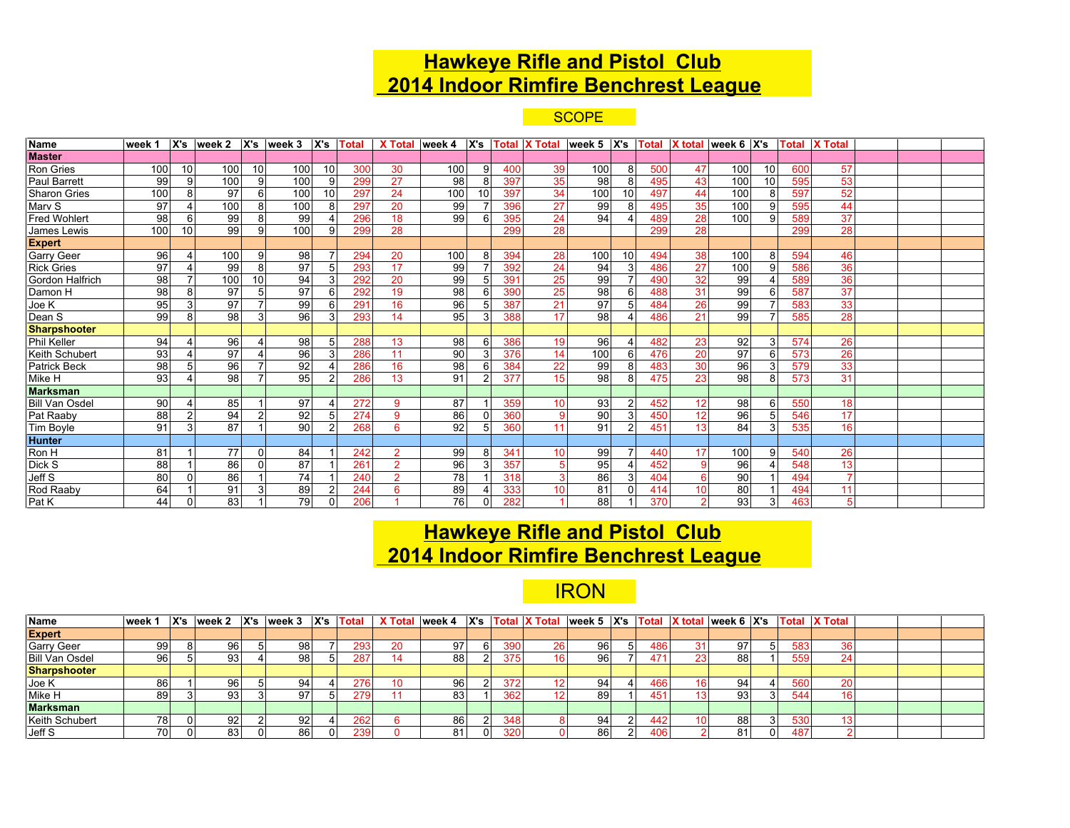## **Hawkeye Rifle and Pistol Club 2014 Indoor Rimfire Benchrest League**

**SCOPE** 

| Name                  | week 1 |    | X's week 2      |          | $X's$ week 3 $X's$ Total |                |     | X Total   week 4 |     |             |     | $ X's $ Total X Total   week 5   X's   Total   X total   week 6   X's |            |    |     |                |     |                 | <b>Total</b> | <b>X</b> Total |  |  |
|-----------------------|--------|----|-----------------|----------|--------------------------|----------------|-----|------------------|-----|-------------|-----|-----------------------------------------------------------------------|------------|----|-----|----------------|-----|-----------------|--------------|----------------|--|--|
| <b>Master</b>         |        |    |                 |          |                          |                |     |                  |     |             |     |                                                                       |            |    |     |                |     |                 |              |                |  |  |
| Ron Gries             | 100    | 10 | 100             | 10       | 100                      | 10             | 300 | 30               | 100 | 9           | 400 | 39                                                                    | 100        | 8  | 500 | 47             | 100 | 10 <sup>1</sup> | 600          | 57             |  |  |
| Paul Barrett          | 99     | 9  | 100             | 9        | 100                      | 9              | 299 | 27               | 98  | 8           | 397 | 35                                                                    | 98         |    | 495 | 43             | 100 | 10              | 595          | 53             |  |  |
| Sharon Gries          | 100    | 8  | 97              | 6        | 100                      | 10             | 297 | 24               | 100 | 10          | 397 | 34                                                                    | <b>100</b> | 10 | 497 | 44             | 100 | 8               | 597          | 52             |  |  |
| Marv S                | 97     |    | 100             | 8        | 100                      | 8              | 297 | 20               | 99  |             | 396 | 27                                                                    | 99         |    | 495 | 35             | 100 | 9 <sup>1</sup>  | 595          | 44             |  |  |
| <b>Fred Wohlert</b>   | 98     | 6  | 99              | 8        | 99                       |                | 296 | 18               | 99  | $\epsilon$  | 395 | 24                                                                    | 94         |    | 489 | 28             | 100 | $\overline{9}$  | 589          | 37             |  |  |
| James Lewis           | 100    | 10 | 99              | 9        | 100                      | 9              | 299 | 28               |     |             | 299 | 28                                                                    |            |    | 299 | 28             |     |                 | 299          | 28             |  |  |
| <b>Expert</b>         |        |    |                 |          |                          |                |     |                  |     |             |     |                                                                       |            |    |     |                |     |                 |              |                |  |  |
| Garry Geer            | 96     |    | 100             | 9        | 98                       |                | 294 | 20               | 100 | 8           | 394 | 28                                                                    | 100        | 10 | 494 | 38             | 100 | 8               | 594          | 46             |  |  |
| <b>Rick Gries</b>     | 97     |    | 99              | 8        | 97                       | 5              | 293 | 17               | 99  |             | 392 | 24                                                                    | 94         | 3  | 486 | 27             | 100 | 9               | 586          | 36             |  |  |
| Gordon Halfrich       | 98     |    | 100             | 10       | 94                       | 3              | 292 | 20               | 99  |             | 391 | 25                                                                    | 99         |    | 490 | 32             | 99  |                 | 589          | 36             |  |  |
| Damon H               | 98     | 8  | 97              | 5        | 97                       | 6              | 292 | 19               | 98  | $\epsilon$  | 390 | 25                                                                    | 98         |    | 488 | 31             | 99  | 6               | 587          | 37             |  |  |
| Joe K                 | 95     | 3  | 97              |          | 99                       | 6              | 291 | 16               | 96  |             | 387 | 21                                                                    | 97         |    | 484 | 26             | 99  |                 | 583          | 33             |  |  |
| Dean S                | 99     | 8  | 98              | 3        | 96                       | 3              | 293 | 14               | 95  | Э           | 388 | 17                                                                    | 98         |    | 486 | 21             | 99  |                 | 585          | 28             |  |  |
| <b>Sharpshooter</b>   |        |    |                 |          |                          |                |     |                  |     |             |     |                                                                       |            |    |     |                |     |                 |              |                |  |  |
| Phil Keller           | 94     |    | 96              |          | 98                       | .5             | 288 | 13               | 98  | $\epsilon$  | 386 | 19                                                                    | 96         |    | 482 | 23             | 92  | 3               | 574          | 26             |  |  |
| Keith Schubert        | 93     |    | 97              |          | 96                       | 3              | 286 | 11               | 90  | Э           | 376 | 14                                                                    | <b>100</b> |    | 476 | 20             | 97  | 6               | 573          | 26             |  |  |
| Patrick Beck          | 98     |    | 96              |          | 92                       |                | 286 | 16               | 98  | -6          | 384 | 22                                                                    | 99         |    | 483 | 30             | 96  | $\mathbf{3}$    | 579          | 33             |  |  |
| Mike H                | 93     |    | 98              |          | 95                       |                | 286 | 13               | 91  |             | 377 | 15                                                                    | 98         |    | 475 | 23             | 98  | 8               | 573          | 31             |  |  |
| <b>Marksman</b>       |        |    |                 |          |                          |                |     |                  |     |             |     |                                                                       |            |    |     |                |     |                 |              |                |  |  |
| <b>Bill Van Osdel</b> | 90     |    | 85              |          | 97                       |                | 272 | 9                | 87  |             | 359 | 10                                                                    | 93         |    | 452 | 12             | 98  | 6               | 550          | 18             |  |  |
| Pat Raaby             | 88     |    | 94              |          | 92                       |                | 274 | 9                | 86  |             | 360 |                                                                       | 90         |    | 450 | 12             | 96  |                 | 546          | 17             |  |  |
| Tim Boyle             | 91     | 3  | 87              |          | 90                       | $\overline{2}$ | 268 | 6                | 92  | -5          | 360 | 11                                                                    | 91         |    | 451 | 13             | 84  | 3 <sup>1</sup>  | 535          | 16             |  |  |
| <b>Hunter</b>         |        |    |                 |          |                          |                |     |                  |     |             |     |                                                                       |            |    |     |                |     |                 |              |                |  |  |
| Ron H                 | 81     |    | $\overline{77}$ | 0        | 84                       |                | 242 | $\overline{2}$   | 99  | 8           | 341 | 10                                                                    | 99         |    | 440 | 17             | 100 | 9 <sup>1</sup>  | 540          | 26             |  |  |
| Dick S                | 88     |    | 86              | $\Omega$ | 87                       |                | 261 | $\mathcal{P}$    | 96  | 3           | 357 |                                                                       | 95         |    | 452 | -9             | 96  |                 | 548          | 13             |  |  |
| Jeff S                | 80     | 0  | 86              |          | 74                       |                | 240 | $\overline{2}$   | 78  |             | 318 |                                                                       | 86         |    | 404 | 6              | 90  |                 | 494          |                |  |  |
| Rod Raaby             | 64     |    | 91              | 3        | 89                       | $\mathcal{P}$  | 244 | 6                | 89  |             | 333 | 10                                                                    | 81         |    | 414 | 10             | 80  |                 | 494          | 11             |  |  |
| Pat K                 | 44     | 0  | 83              |          | 79                       | $\mathbf 0$    | 206 |                  | 76  | $\mathbf 0$ | 282 |                                                                       | 88         |    | 370 | $\overline{2}$ | 93  | 3               | 463          | 5              |  |  |

## **Hawkeye Rifle and Pistol Club 2014 Indoor Rimfire Benchrest League**

## **IRON**

| Name                  | week 1 | X's |     | week 2   X's   week 3   X's   Total   X Total   week 4   X's   Total   X Total   week 5   X's   Total   X total   week 6   X's   Total   X Total   X Total |     |    |    |    |     |    |     |    |    |    |     |     |  |  |
|-----------------------|--------|-----|-----|------------------------------------------------------------------------------------------------------------------------------------------------------------|-----|----|----|----|-----|----|-----|----|----|----|-----|-----|--|--|
| <b>Expert</b>         |        |     |     |                                                                                                                                                            |     |    |    |    |     |    |     |    |    |    |     |     |  |  |
| <b>Garry Geer</b>     | 99     |     | 96  | 98                                                                                                                                                         |     | 20 | 97 |    | 390 | 96 | 486 |    | 97 | 51 | 583 | 36  |  |  |
| <b>Bill Van Osdel</b> | 96     |     | 931 | 98                                                                                                                                                         | 287 |    | 88 |    | 375 | 96 | 471 | 23 | 88 |    | 559 |     |  |  |
| <b>Sharpshooter</b>   |        |     |     |                                                                                                                                                            |     |    |    |    |     |    |     |    |    |    |     |     |  |  |
| Joe K                 | 86     |     | 96। | 94                                                                                                                                                         | 276 | 10 | 96 |    | 372 | 94 | 466 |    | 94 |    | 560 | 20، |  |  |
| Mike H                | 89     |     | 931 | 97                                                                                                                                                         | 279 |    | 83 |    | 362 | 89 | 451 |    | 93 | 31 | 544 |     |  |  |
| <b>Marksman</b>       |        |     |     |                                                                                                                                                            |     |    |    |    |     |    |     |    |    |    |     |     |  |  |
| Keith Schubert        | 781    |     | 921 | 92                                                                                                                                                         | 262 |    | 86 |    | 348 | 94 | 442 |    | 88 |    | 530 |     |  |  |
| Jeff S                | 70     |     | 83. | 86                                                                                                                                                         | 239 |    | 81 | -0 | 320 | 86 | 406 |    | 8. | 01 | 487 |     |  |  |